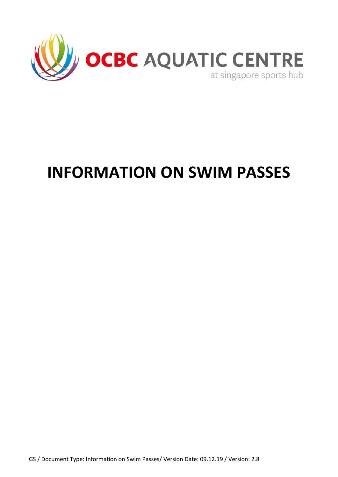

# **INFORMATION ON SWIM PASSES**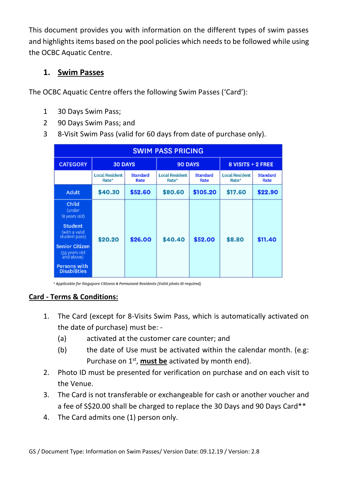This document provides you with information on the different types of swim passes and highlights items based on the pool policies which needs to be followed while using the OCBC Aquatic Centre.

## **1. Swim Passes**

The OCBC Aquatic Centre offers the following Swim Passes ('Card'):

- 1 30 Days Swim Pass;
- 2 90 Days Swim Pass; and
- 3 8-Visit Swim Pass (valid for 60 days from date of purchase only).

| <b>SWIM PASS PRICING</b>                             |                                |                         |                                |                         |                                |                         |  |
|------------------------------------------------------|--------------------------------|-------------------------|--------------------------------|-------------------------|--------------------------------|-------------------------|--|
| <b>CATEGORY</b>                                      | <b>30 DAYS</b>                 |                         | 90 DAYS                        |                         | $8$ VISITS + 2 FREE            |                         |  |
|                                                      | <b>Local Resident</b><br>Rate* | <b>Standard</b><br>Rate | <b>Local Resident</b><br>Rate* | <b>Standard</b><br>Rate | <b>Local Resident</b><br>Rate* | <b>Standard</b><br>Rate |  |
| Adult                                                | \$40.30                        | \$52.60                 | \$80.60                        | \$105.20                | \$17.60                        | \$22.90                 |  |
| Child<br>(under<br>18 years old)                     | \$20.20                        | \$26.00                 | \$40.40                        | \$52.00                 | \$8.80                         | \$11.40                 |  |
| <b>Student</b><br>(with a valid<br>student pass)     |                                |                         |                                |                         |                                |                         |  |
| <b>Senior Citizen</b><br>(55 years old<br>and above) |                                |                         |                                |                         |                                |                         |  |
| Persons with<br><b>Disabilities</b>                  |                                |                         |                                |                         |                                |                         |  |

\* Applicable for Singapore Citizens & Permanent Residents (Valid photo ID reguired)

## **Card - Terms & Conditions:**

- 1. The Card (except for 8-Visits Swim Pass, which is automatically activated on the date of purchase) must be: -
	- (a) activated at the customer care counter; and
	- (b) the date of Use must be activated within the calendar month. (e.g: Purchase on 1<sup>st</sup>, **must be** activated by month end).
- 2. Photo ID must be presented for verification on purchase and on each visit to the Venue.
- 3. The Card is not transferable or exchangeable for cash or another voucher and a fee of S\$20.00 shall be charged to replace the 30 Days and 90 Days Card\*\*
- 4. The Card admits one (1) person only.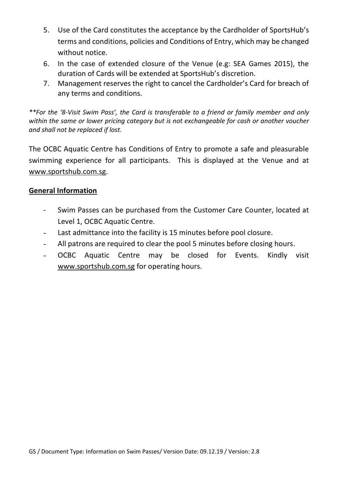- 5. Use of the Card constitutes the acceptance by the Cardholder of SportsHub's terms and conditions, policies and Conditions of Entry, which may be changed without notice.
- 6. In the case of extended closure of the Venue (e.g: SEA Games 2015), the duration of Cards will be extended at SportsHub's discretion.
- 7. Management reserves the right to cancel the Cardholder's Card for breach of any terms and conditions.

*\*\*For the '8-Visit Swim Pass', the Card is transferable to a friend or family member and only within the same or lower pricing category but is not exchangeable for cash or another voucher and shall not be replaced if lost.*

The OCBC Aquatic Centre has Conditions of Entry to promote a safe and pleasurable swimming experience for all participants. This is displayed at the Venue and at [www.sportshub.com.sg.](http://www.sportshub.com.sg/)

#### **General Information**

- Swim Passes can be purchased from the Customer Care Counter, located at Level 1, OCBC Aquatic Centre.
- Last admittance into the facility is 15 minutes before pool closure.
- All patrons are required to clear the pool 5 minutes before closing hours.
- OCBC Aquatic Centre may be closed for Events. Kindly visit [www.sportshub.com.sg](http://www.sportshub.com.sg/) for operating hours.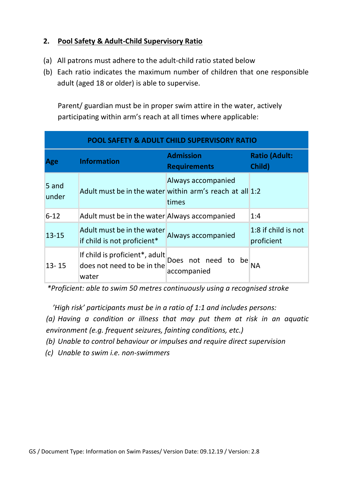## **2. Pool Safety & Adult-Child Supervisory Ratio**

- (a) All patrons must adhere to the adult-child ratio stated below
- (b) Each ratio indicates the maximum number of children that one responsible adult (aged 18 or older) is able to supervise.

Parent/ guardian must be in proper swim attire in the water, actively participating within arm's reach at all times where applicable:

| <b>POOL SAFETY &amp; ADULT CHILD SUPERVISORY RATIO</b> |                                                                       |                                         |                                   |  |  |  |
|--------------------------------------------------------|-----------------------------------------------------------------------|-----------------------------------------|-----------------------------------|--|--|--|
| Age                                                    | <b>Information</b>                                                    | <b>Admission</b><br><b>Requirements</b> | <b>Ratio (Adult:</b><br>Child)    |  |  |  |
| 5 and<br>under                                         | Adult must be in the water within arm's reach at all 1:2              | Always accompanied<br>times             |                                   |  |  |  |
| $6 - 12$                                               | Adult must be in the water Always accompanied                         |                                         | 1:4                               |  |  |  |
| $13 - 15$                                              | Adult must be in the water<br>if child is not proficient*             | Always accompanied                      | 1:8 if child is not<br>proficient |  |  |  |
| $13 - 15$                                              | If child is proficient*, adult<br>does not need to be in the<br>water | Does not need to be<br>accompanied      | ΝA                                |  |  |  |

 *\*Proficient: able to swim 50 metres continuously using a recognised stroke*

 *'High risk' participants must be in a ratio of 1:1 and includes persons:*

*(a) Having a condition or illness that may put them at risk in an aquatic environment (e.g. frequent seizures, fainting conditions, etc.)*

*(b) Unable to control behaviour or impulses and require direct supervision*

*(c) Unable to swim i.e. non-swimmers*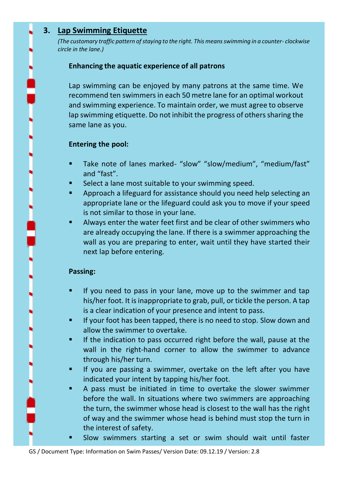## **3. Lap Swimming Etiquette**

*(The customary traffic pattern of staying to the right. This means swimming in a counter- clockwise circle in the lane.)*

#### **Enhancing the aquatic experience of all patrons**

Lap swimming can be enjoyed by many patrons at the same time. We recommend ten swimmers in each 50 metre lane for an optimal workout and swimming experience. To maintain order, we must agree to observe lap swimming etiquette. Do not inhibit the progress of others sharing the same lane as you.

#### **Entering the pool:**

- Take note of lanes marked- "slow" "slow/medium", "medium/fast" and "fast".
- Select a lane most suitable to your swimming speed.
- Approach a lifeguard for assistance should you need help selecting an appropriate lane or the lifeguard could ask you to move if your speed is not similar to those in your lane.
- Always enter the water feet first and be clear of other swimmers who are already occupying the lane. If there is a swimmer approaching the wall as you are preparing to enter, wait until they have started their next lap before entering.

#### **Passing:**

- If you need to pass in your lane, move up to the swimmer and tap his/her foot. It is inappropriate to grab, pull, or tickle the person. A tap is a clear indication of your presence and intent to pass.
- If your foot has been tapped, there is no need to stop. Slow down and allow the swimmer to overtake.
- If the indication to pass occurred right before the wall, pause at the wall in the right-hand corner to allow the swimmer to advance through his/her turn.
- If you are passing a swimmer, overtake on the left after you have indicated your intent by tapping his/her foot.
- A pass must be initiated in time to overtake the slower swimmer before the wall. In situations where two swimmers are approaching the turn, the swimmer whose head is closest to the wall has the right of way and the swimmer whose head is behind must stop the turn in the interest of safety.
	- Slow swimmers starting a set or swim should wait until faster